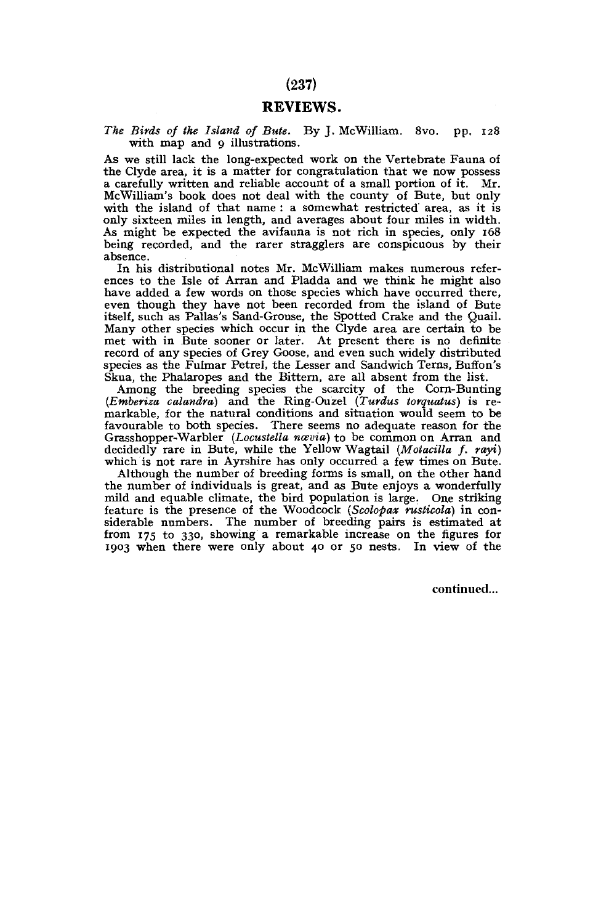## REVIEWS.

The Birds of the Island of Bute. By J. McWilliam. 8vo. pp. 128 with map and 9 illustrations.

As we still lack the long-expected work on the Vertebrate Fauna of the Clyde area, it is a matter for congratulation that we now possess a carefully written and reliable account of a small portion of it. Mr. McWilliam's book does not deal with the county of Bute, but only with the island of that name : a somewhat restricted area, as it is only sixteen miles in length, and averages about four miles in width. As might be expected the avifauna is not rich in species, only 168 being recorded, and the rarer stragglers are conspicuous by their absence.

In his distributional notes Mr. McWilliam makes numerous references to the Isle of Arran and Pladda and we think he might also have added a few words on those species which have occurred there, even though they have not been recorded from the island of Bute itself, such as Pallas's Sand-Grouse, the Spotted Crake and the Quail. Many other species which occur in the Clyde area are certain to be met with in Bute sooner or later. At present there is no definite record of any species of Grey Goose, and even such widely distributed species as the Fulmar Petrel, the Lesser and Sandwich Terns, Buffon's Skua, the Phalaropes and the Bittern, are all absent from the list.

Among the breeding species the scarcity of the Corn-Bunting *(Emberiza calandra)* and the Ring-Ouzel *(Turdus torquatus)* is remarkable, for the natural conditions and situation would seem to be favourable to both species. There seems no adequate reason for the Grasshopper-Warbler *(Locustella ncevia)* to be common on Arran and decidedly rare in Bute, while the Yellow Wagtail *(Motacilla f. rayi)*  which is not rare in Ayrshire has only occurred a few times on Bute.

Although the number of breeding forms is small, on the other hand the number of individuals is great, and as Bute enjoys a wonderfully mild and equable climate, the bird population is large. One striking feature is the presence of the Woodcock *(Scolopax ruslicola)* in considerable numbers. The number of breeding pairs is estimated at from 175 to 330, showing a remarkable increase on the figures for 1903 when there were only about 40 or 50 nests. In view of the

continued...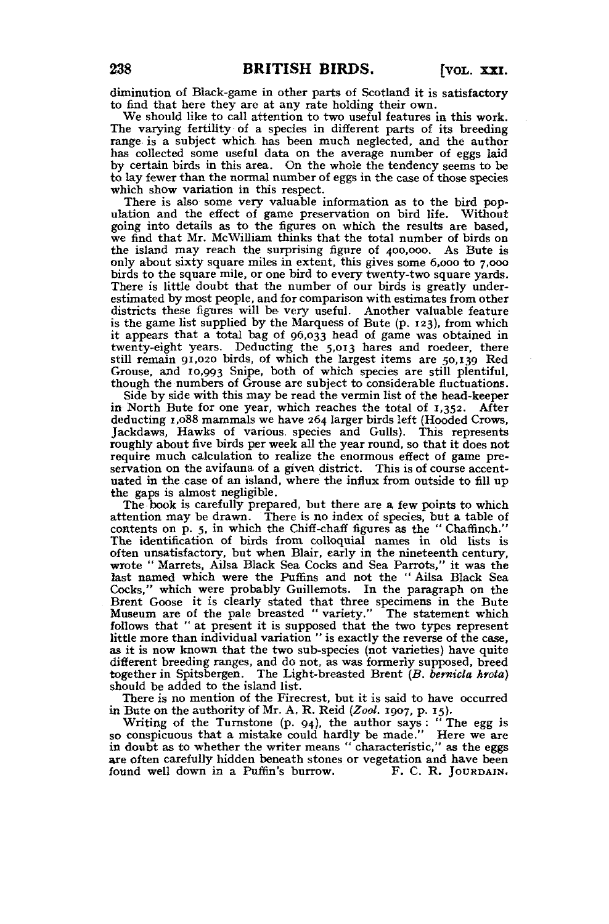diminution of Black-game in other parts of Scotland it is satisfactory to find that here they are at any rate holding their own.

We should like to call attention to two useful features in this work. The varying fertility of a species in different parts of its breeding range is a subject which has been much neglected, and the author has collected some useful data on the average number of eggs laid by certain birds in this area. On the whole the tendency seems to be to lay fewer than the normal number of eggs in the case of those species which show variation in this respect.

There is also some very valuable information as to the bird population and the effect of game preservation on bird life. Without going into details as to the figures on which the results are based, we find that Mr. McWilliam thinks that the total number of birds on the island may reach the surprising figure of 400,000. As Bute is only about sixty square miles in extent, this gives some 6,000 to 7,000 birds to the square mile, or one bird to every twenty-two square yards. There is little doubt that the number of our birds is greatly underestimated by most people, and for comparison with estimates from other districts these figures will be very useful. Another valuable feature is the game list supplied by the Marquess of Bute (p. 123), from which it appears that a total bag of 96,033 head of game was obtained in twenty-eight years. Deducting the 5,013 hares and roedeer, there still remain 91,020 birds, of which the largest items are 50,139 Red Grouse, and 10,993 Snipe, both of which species are still plentiful, though the numbers of Grouse are subject to considerable fluctuations.

Side by side with this may be read the vermin list of the head-keeper in North Bute for one year, which reaches the total of r,352. After deducting 1,088 mammals we have 264 larger birds left (Hooded Crows, Jackdaws, Hawks of various, species and Gulls). This represents roughly about five birds per week all the year round, so that it does not require much calculation to realize the enormous effect of game preservation on the avifauna of a given district. This is of course accentuated in the case of an island, where the influx from outside to fill up the gaps is almost negligible.

The book is carefully prepared, but there are a few points to which attention may be drawn. There is no index of species, but a table of contents on p. 5, in which the Chiff-chaff figures as the " Chaffinch." The identification of birds from colloquial names in old lists is often unsatisfactory, but when Blair, early in the nineteenth century, wrote " Marrets, Ailsa Black Sea Cocks and Sea Parrots," it was the last named which were the Puffins and not the " Ailsa Black Sea Cocks," which were probably Guillemots. In the paragraph on the Brent Goose it is clearly stated that three specimens in the Bute Museum are of the pale breasted "variety." The statement which follows that " at present it is supposed that the two types represent little more than individual variation " is exactly the reverse of the case, as it is now known that the two sub-species (not varieties) have quite different breeding ranges, and do not, as was formerly supposed, breed together in Spitsbergen. The Light-breasted Brent *(B, bernicla hrota)*  should be added to the island list.

There is no mention of the Firecrest, but it is said to have occurred in Bute on the authority of Mr. A. R, Reid *(Zool.* 1907, p. 15).

Writing of the Turnstone (p. 94), the author says: "The egg is so conspicuous that a mistake could hardly be made." Here we are in doubt as to whether the writer means " characteristic," as the eggs are often carefully hidden beneath stones or vegetation and have been<br>found well down in a Puffin's burrow. F. C. R. JOURDAIN. found well down in a Puffin's burrow.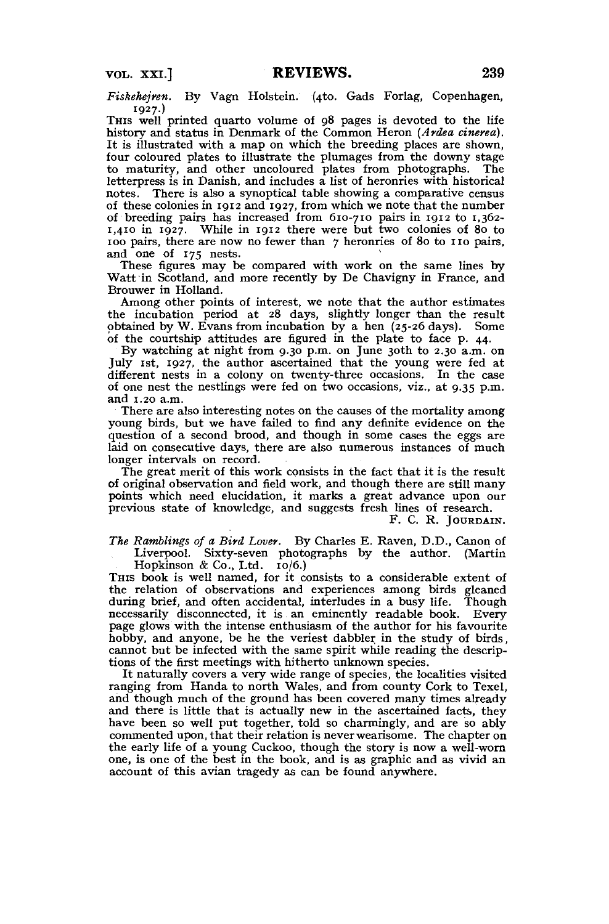*Fiskehejren.* By Vagn Holstein. (4to. Gads Forlag, Copenhagen, 1927.)

THIS well printed quarto volume of 98 pages is devoted to the life history and status in Denmark of the Common Heron *(Ardea cinerea).*  It is illustrated with a map on which the breeding places are shown, four coloured plates to illustrate the plumages from the downy stage to maturity, and other uncoloured plates from photographs. The letterpress is in Danish, and includes a list of heronries with historical notes. There is also a synoptical table showing a comparative census of these colonies in 1912 and 1927, from which we note that the number of breeding pairs has increased from 610-710 pairs in 1912 to 1,362- 1,410 in 1927. While in 1912 there were but two colonies of 80 to 100 pairs, there are now no fewer than 7 heronries of 80 to 110 pairs, and one of 175 nests.

These figures may be compared with work on the same lines by Watt in Scotland, and more recently by De Chavigny in France, and Brouwer in Holland.

Among other points of interest, we note that the author estimates the incubation period at 28 days, slightly longer than the result obtained by W. Evans from incubation by a hen (25-26 days). Some of the courtship attitudes are figured in the plate to face p. 44.

By watching at night from 9.30 p.m. on June 30th to 2.30 a.m. on July 1st, 1927, the author ascertained that the young were fed at different nests in a colony on twenty-three occasions. In the case of one nest the nestlings were fed on two occasions, viz., at 9.35 p.m. and 1.20 a.m.

There are also interesting notes on the causes of the mortality among young birds, but we have failed to find any definite evidence on the question of a second brood, and though in some cases the eggs are laid on consecutive days, there are also numerous instances of much longer intervals on record.

The great merit of this work consists in the fact that it is the result of original observation and field work, and though there are still many points which need elucidation, it marks a great advance upon our previous state of knowledge, and suggests fresh lines of research.

F. C. R. JOURDAIN.

*The Rumblings of a Bird Lover.* By Charles E. Raven, D.D., Canon of Liverpool. Sixty-seven photographs by the author. (Martin Hopkinson & Co., Ltd. 10/6.)

THIS book is well named, for it consists to a considerable extent of the relation of observations and experiences among birds gleaned during brief, and often accidental, interludes in a busy life. Though necessarily disconnected, it is an eminently readable book. Every page glows with the intense enthusiasm of the author for his favourite hobby, and anyone, be he the veriest dabbler in the study of birds, cannot but be infected with the same spirit while reading the descriptions of the first meetings with hitherto unknown species.

It naturally covers a very wide range of species, the localities visited ranging from Handa to north Wales, and from county Cork to Texel, and though much of the ground has been covered many times already and there is little that is actually new in the ascertained facts, they have been so well put together, told so charmingly, and are so ably commented upon, that their relation is never wearisome. The chapter on the early life of a young Cuckoo, though the story is now a well-worn one, is one of the best in the book, and is as graphic and as vivid an account of this avian tragedy as can be found anywhere.